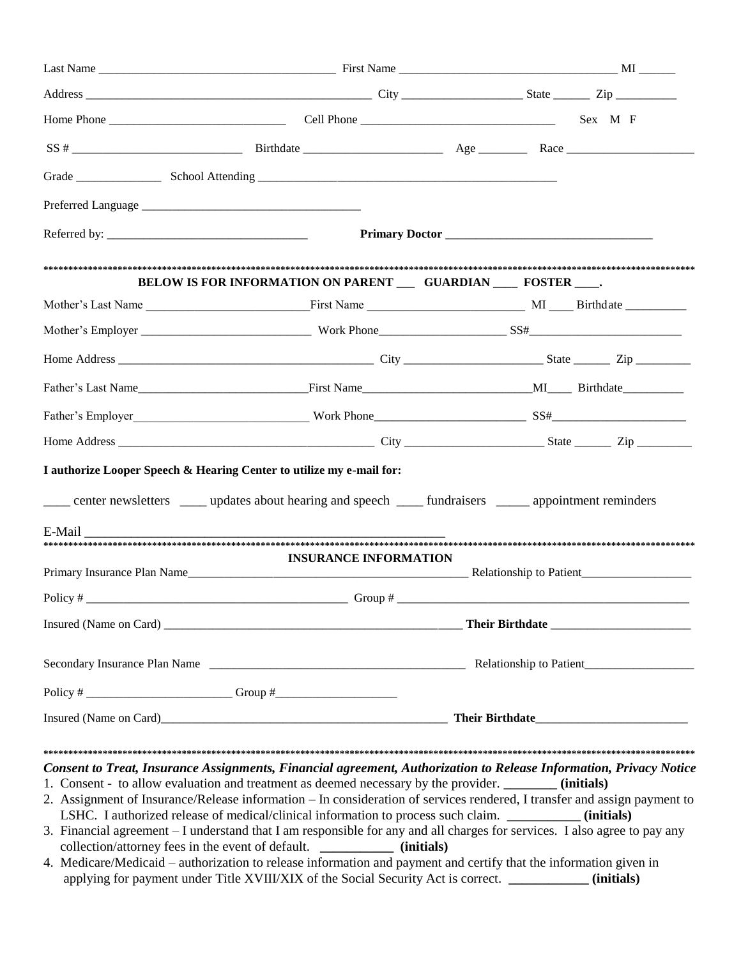|        | BELOW IS FOR INFORMATION ON PARENT __ GUARDIAN ___ FOSTER ___.                                                                                                                                                                                                                                                                                                                                                                                                                                                                                                                                                                                                                                                                                                                                        |  |
|--------|-------------------------------------------------------------------------------------------------------------------------------------------------------------------------------------------------------------------------------------------------------------------------------------------------------------------------------------------------------------------------------------------------------------------------------------------------------------------------------------------------------------------------------------------------------------------------------------------------------------------------------------------------------------------------------------------------------------------------------------------------------------------------------------------------------|--|
|        |                                                                                                                                                                                                                                                                                                                                                                                                                                                                                                                                                                                                                                                                                                                                                                                                       |  |
|        |                                                                                                                                                                                                                                                                                                                                                                                                                                                                                                                                                                                                                                                                                                                                                                                                       |  |
|        |                                                                                                                                                                                                                                                                                                                                                                                                                                                                                                                                                                                                                                                                                                                                                                                                       |  |
|        |                                                                                                                                                                                                                                                                                                                                                                                                                                                                                                                                                                                                                                                                                                                                                                                                       |  |
|        |                                                                                                                                                                                                                                                                                                                                                                                                                                                                                                                                                                                                                                                                                                                                                                                                       |  |
|        |                                                                                                                                                                                                                                                                                                                                                                                                                                                                                                                                                                                                                                                                                                                                                                                                       |  |
| E-Mail | center newsletters _____ updates about hearing and speech ______ fundraisers ______ appointment reminders                                                                                                                                                                                                                                                                                                                                                                                                                                                                                                                                                                                                                                                                                             |  |
|        | <b>INSURANCE INFORMATION</b>                                                                                                                                                                                                                                                                                                                                                                                                                                                                                                                                                                                                                                                                                                                                                                          |  |
|        |                                                                                                                                                                                                                                                                                                                                                                                                                                                                                                                                                                                                                                                                                                                                                                                                       |  |
|        |                                                                                                                                                                                                                                                                                                                                                                                                                                                                                                                                                                                                                                                                                                                                                                                                       |  |
|        |                                                                                                                                                                                                                                                                                                                                                                                                                                                                                                                                                                                                                                                                                                                                                                                                       |  |
|        |                                                                                                                                                                                                                                                                                                                                                                                                                                                                                                                                                                                                                                                                                                                                                                                                       |  |
|        | Policy # ________________________________Group # ________________________________                                                                                                                                                                                                                                                                                                                                                                                                                                                                                                                                                                                                                                                                                                                     |  |
|        | Insured (Name on Card)<br><u>Insured (Name on Card)</u>                                                                                                                                                                                                                                                                                                                                                                                                                                                                                                                                                                                                                                                                                                                                               |  |
|        | Consent to Treat, Insurance Assignments, Financial agreement, Authorization to Release Information, Privacy Notice<br>1. Consent - to allow evaluation and treatment as deemed necessary by the provider. ________ (initials)<br>2. Assignment of Insurance/Release information - In consideration of services rendered, I transfer and assign payment to<br>LSHC. I authorized release of medical/clinical information to process such claim. __________ (initials)<br>3. Financial agreement - I understand that I am responsible for any and all charges for services. I also agree to pay any<br>collection/attorney fees in the event of default. ______________ (initials)<br>4. Medicare/Medicaid – authorization to release information and payment and certify that the information given in |  |

applying for payment under Title XVIII/XIX of the Social Security Act is correct. **\_\_\_\_\_\_\_\_\_\_\_\_ (initials)**